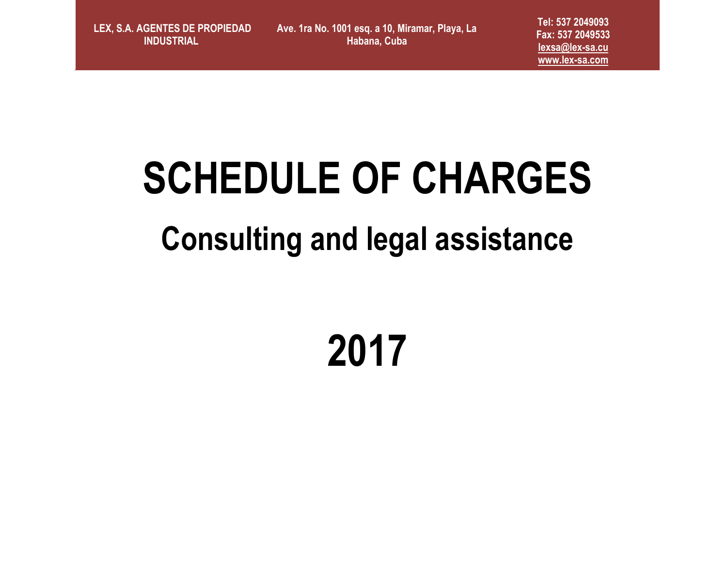**LEX, S.A. AGENTES DE PROPIEDAD INDUSTRIAL** 

**Ave. 1ra No. 1001 esq. a 10, Miramar, Playa, La Habana, Cuba**

**Tel: 537 2049093 Fax: 537 2049533 [lexsa@lex-sa.cu](mailto:lexsa@lex-sa.cu) [www.lex-sa.com](http://www.lex-sa.com/)**

# **SCHEDULE OF CHARGES**

### **Consulting and legal assistance**

## **2017**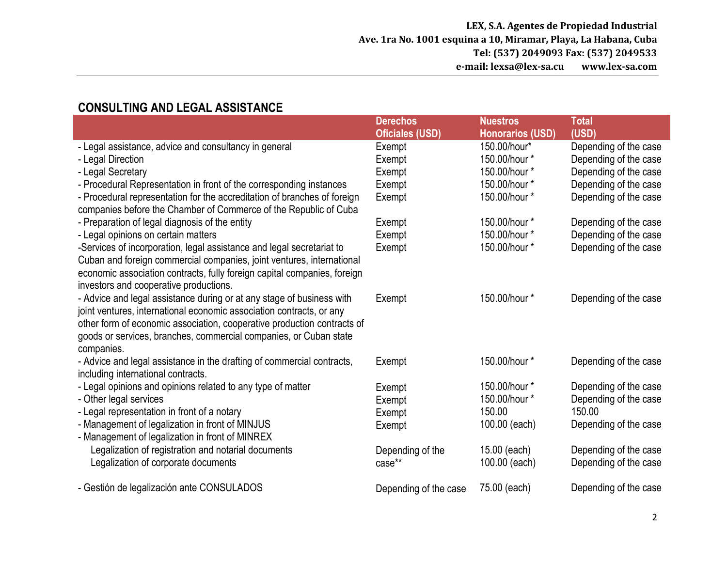#### **CONSULTING AND LEGAL ASSISTANCE Derechos Oficiales (USD) Nuestros Honorarios (USD) Total (USD)** - Legal assistance, advice and consultancy in general - Legal Direction - Legal Secretary - Procedural Representation in front of the corresponding instances - Procedural representation for the accreditation of branches of foreign companies before the Chamber of Commerce of the Republic of Cuba - Preparation of legal diagnosis of the entity - Legal opinions on certain matters -Services of incorporation, legal assistance and legal secretariat to Cuban and foreign commercial companies, joint ventures, international economic association contracts, fully foreign capital companies, foreign investors and cooperative productions. - Advice and legal assistance during or at any stage of business with joint ventures, international economic association contracts, or any other form of economic association, cooperative production contracts of goods or services, branches, commercial companies, or Cuban state companies. - Advice and legal assistance in the drafting of commercial contracts, including international contracts. - Legal opinions and opinions related to any type of matter - Other legal services - Legal representation in front of a notary - Management of legalization in front of MINJUS - Management of legalization in front of MINREX Legalization of registration and notarial documents Legalization of corporate documents - Gestión de legalización ante CONSULADOS Exempt Exempt Exempt Exempt Exempt Exempt Exempt Exempt Exempt Exempt Exempt Exempt Exempt Exempt Depending of the case\*\* Depending of the case 150.00/hour\* 150.00/hour \* 150.00/hour \* 150.00/hour \* 150.00/hour \* 150.00/hour \* 150.00/hour \* 150.00/hour \* 150.00/hour \* 150.00/hour \* 150.00/hour \* 150.00/hour \* 150.00 100.00 (each) 15.00 (each) 100.00 (each) 75.00 (each) Depending of the case Depending of the case Depending of the case Depending of the case Depending of the case Depending of the case Depending of the case Depending of the case Depending of the case Depending of the case Depending of the case Depending of the case 150.00 Depending of the case Depending of the case Depending of the case Depending of the case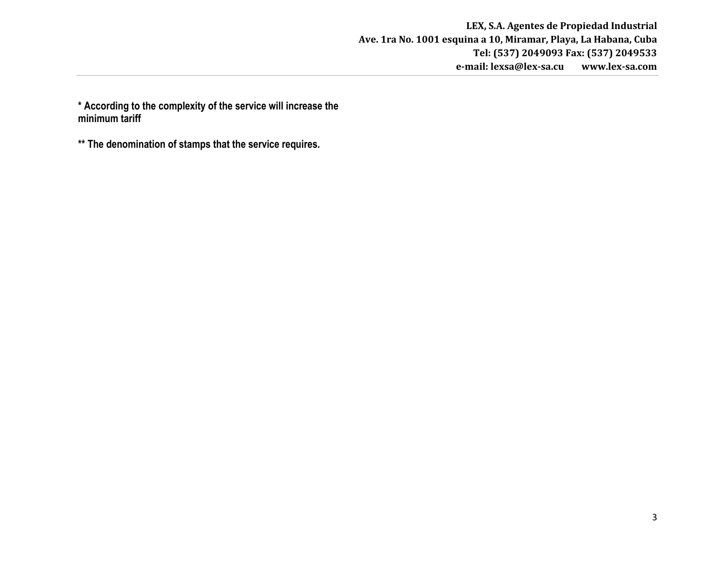**\* According to the complexity of the service will increase the minimum tariff**

**\*\* The denomination of stamps that the service requires.**